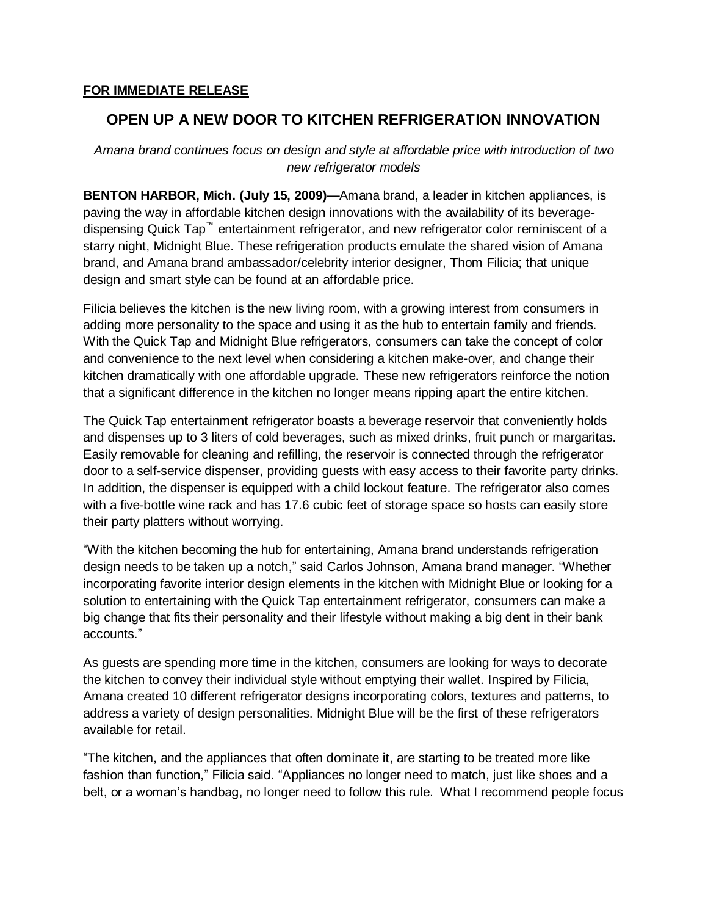## **FOR IMMEDIATE RELEASE**

## **OPEN UP A NEW DOOR TO KITCHEN REFRIGERATION INNOVATION**

*Amana brand continues focus on design and style at affordable price with introduction of two new refrigerator models* 

**BENTON HARBOR, Mich. (July 15, 2009)—**Amana brand, a leader in kitchen appliances, is paving the way in affordable kitchen design innovations with the availability of its beveragedispensing Quick Tap<sup>™</sup> entertainment refrigerator, and new refrigerator color reminiscent of a starry night, Midnight Blue. These refrigeration products emulate the shared vision of Amana brand, and Amana brand ambassador/celebrity interior designer, Thom Filicia; that unique design and smart style can be found at an affordable price.

Filicia believes the kitchen is the new living room, with a growing interest from consumers in adding more personality to the space and using it as the hub to entertain family and friends. With the Quick Tap and Midnight Blue refrigerators, consumers can take the concept of color and convenience to the next level when considering a kitchen make-over, and change their kitchen dramatically with one affordable upgrade. These new refrigerators reinforce the notion that a significant difference in the kitchen no longer means ripping apart the entire kitchen.

The Quick Tap entertainment refrigerator boasts a beverage reservoir that conveniently holds and dispenses up to 3 liters of cold beverages, such as mixed drinks, fruit punch or margaritas. Easily removable for cleaning and refilling, the reservoir is connected through the refrigerator door to a self-service dispenser, providing guests with easy access to their favorite party drinks. In addition, the dispenser is equipped with a child lockout feature. The refrigerator also comes with a five-bottle wine rack and has 17.6 cubic feet of storage space so hosts can easily store their party platters without worrying.

"With the kitchen becoming the hub for entertaining, Amana brand understands refrigeration design needs to be taken up a notch," said Carlos Johnson, Amana brand manager. "Whether incorporating favorite interior design elements in the kitchen with Midnight Blue or looking for a solution to entertaining with the Quick Tap entertainment refrigerator, consumers can make a big change that fits their personality and their lifestyle without making a big dent in their bank accounts."

As guests are spending more time in the kitchen, consumers are looking for ways to decorate the kitchen to convey their individual style without emptying their wallet. Inspired by Filicia, Amana created 10 different refrigerator designs incorporating colors, textures and patterns, to address a variety of design personalities. Midnight Blue will be the first of these refrigerators available for retail.

"The kitchen, and the appliances that often dominate it, are starting to be treated more like fashion than function," Filicia said. "Appliances no longer need to match, just like shoes and a belt, or a woman's handbag, no longer need to follow this rule. What I recommend people focus